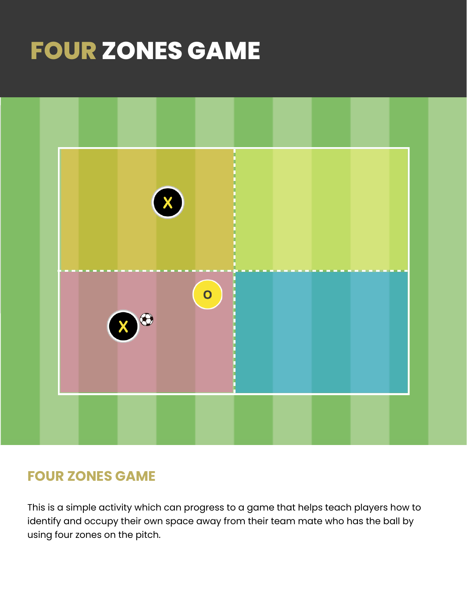# **FOUR ZONES GAME**



#### **FOUR ZONES GAME**

This is a simple activity which can progress to a game that helps teach players how to identify and occupy their own space away from their team mate who has the ball by using four zones on the pitch.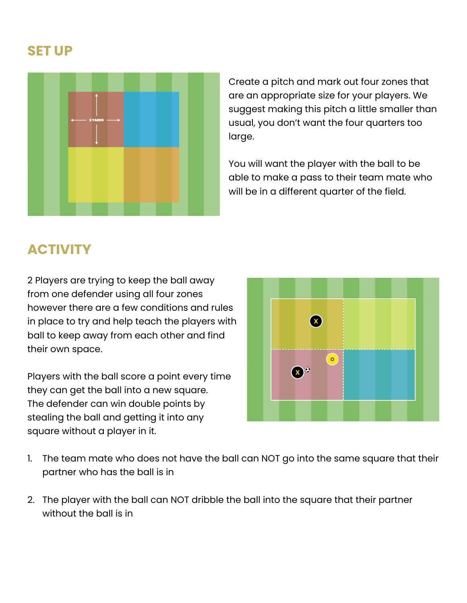#### **SET UP**



Create a pitch and mark out four zones that are an appropriate size for your players. We suggest making this pitch a little smaller than usual, you don't want the four quarters too large.

You will want the player with the ball to be able to make a pass to their team mate who will be in a different quarter of the field.

## **ACTIVITY**

2 Players are trying to keep the ball away from one defender using all four zones however there are a few conditions and rules in place to try and help teach the players with ball to keep away from each other and find their own space.

Players with the ball score a point every time they can get the ball into a new square. The defender can win double points by stealing the ball and getting it into any square without a player in it.



- 1. The team mate who does not have the ball can NOT go into the same square that their partner who has the ball is in
- 2. The player with the ball can NOT dribble the ball into the square that their partner without the ball is in